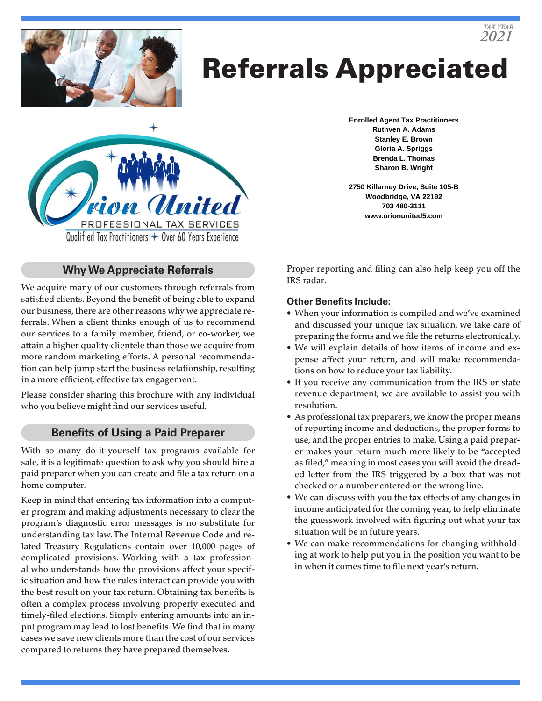

# Referrals Appreciated



**Enrolled Agent Tax Practitioners Ruthven A. Adams Stanley E. Brown Gloria A. Spriggs Brenda L. Thomas Sharon B. Wright**

*TAX YEAR 2021*

**2750 Killarney Drive, Suite 105-B Woodbridge, VA 22192 703 480-3111 www.orionunited5.com**

# **Why We Appreciate Referrals**

We acquire many of our customers through referrals from satisfied clients. Beyond the benefit of being able to expand our business, there are other reasons why we appreciate referrals. When a client thinks enough of us to recommend our services to a family member, friend, or co-worker, we attain a higher quality clientele than those we acquire from more random marketing efforts. A personal recommendation can help jump start the business relationship, resulting in a more efficient, effective tax engagement.

Please consider sharing this brochure with any individual who you believe might find our services useful.

#### **Benefits of Using a Paid Preparer**

With so many do-it-yourself tax programs available for sale, it is a legitimate question to ask why you should hire a paid preparer when you can create and file a tax return on a home computer.

Keep in mind that entering tax information into a computer program and making adjustments necessary to clear the program's diagnostic error messages is no substitute for understanding tax law. The Internal Revenue Code and related Treasury Regulations contain over 10,000 pages of complicated provisions. Working with a tax professional who understands how the provisions affect your specific situation and how the rules interact can provide you with the best result on your tax return. Obtaining tax benefits is often a complex process involving properly executed and timely-filed elections. Simply entering amounts into an input program may lead to lost benefits. We find that in many cases we save new clients more than the cost of our services compared to returns they have prepared themselves.

Proper reporting and filing can also help keep you off the IRS radar.

#### **Other Benefits Include:**

- When your information is compiled and we've examined and discussed your unique tax situation, we take care of preparing the forms and we file the returns electronically.
- We will explain details of how items of income and expense affect your return, and will make recommendations on how to reduce your tax liability.
- If you receive any communication from the IRS or state revenue department, we are available to assist you with resolution.
- As professional tax preparers, we know the proper means of reporting income and deductions, the proper forms to use, and the proper entries to make. Using a paid preparer makes your return much more likely to be "accepted as filed," meaning in most cases you will avoid the dreaded letter from the IRS triggered by a box that was not checked or a number entered on the wrong line.
- We can discuss with you the tax effects of any changes in income anticipated for the coming year, to help eliminate the guesswork involved with figuring out what your tax situation will be in future years.
- We can make recommendations for changing withholding at work to help put you in the position you want to be in when it comes time to file next year's return.